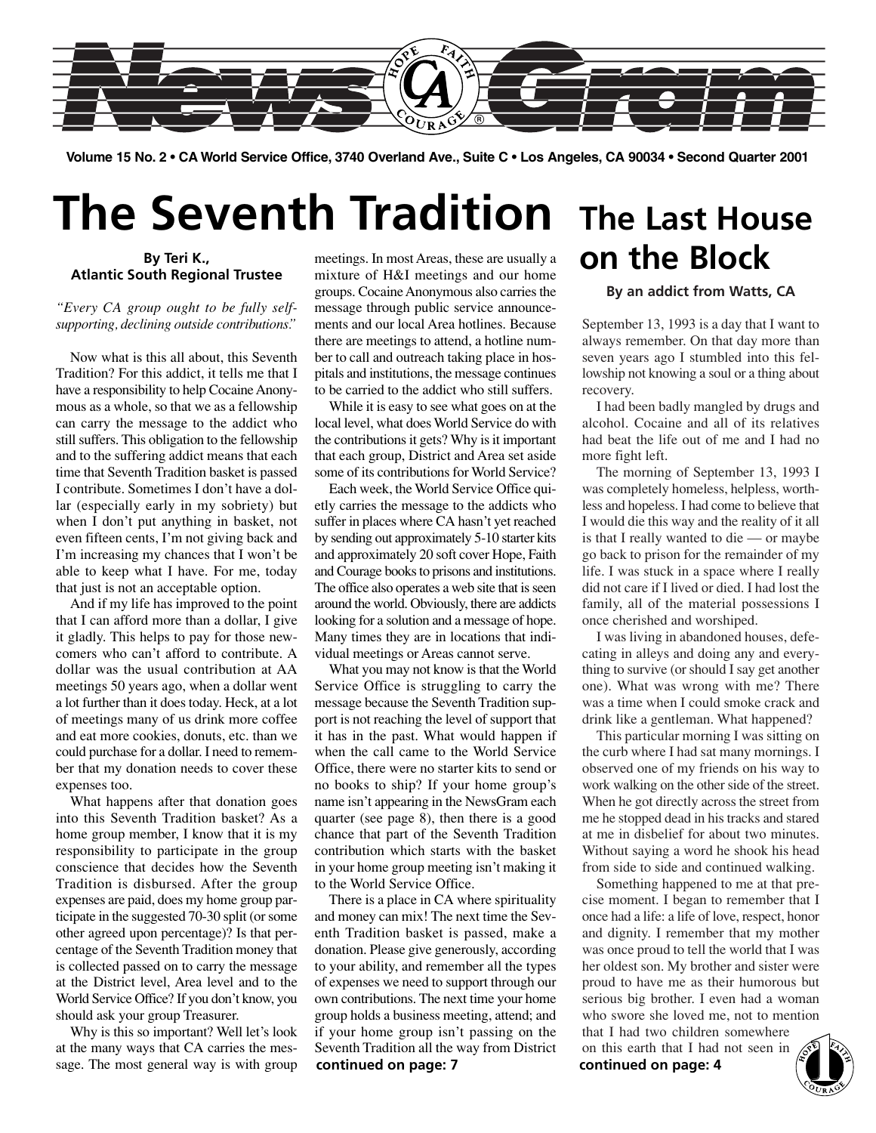

**Volume 15 No. 2 • CA World Service Office, 3740 Overland Ave., Suite C • Los Angeles, CA 90034 • Second Quarter 2001**

# **The Seventh Tradition**

#### **By Teri K., Atlantic South Regional Trustee**

### *"Every CA group ought to be fully selfsupporting, declining outside contributions."*

Now what is this all about, this Seventh Tradition? For this addict, it tells me that I have a responsibility to help Cocaine Anonymous as a whole, so that we as a fellowship can carry the message to the addict who still suffers. This obligation to the fellowship and to the suffering addict means that each time that Seventh Tradition basket is passed I contribute. Sometimes I don't have a dollar (especially early in my sobriety) but when I don't put anything in basket, not even fifteen cents, I'm not giving back and I'm increasing my chances that I won't be able to keep what I have. For me, today that just is not an acceptable option.

And if my life has improved to the point that I can afford more than a dollar, I give it gladly. This helps to pay for those newcomers who can't afford to contribute. A dollar was the usual contribution at AA meetings 50 years ago, when a dollar went a lot further than it does today. Heck, at a lot of meetings many of us drink more coffee and eat more cookies, donuts, etc. than we could purchase for a dollar. I need to remember that my donation needs to cover these expenses too.

What happens after that donation goes into this Seventh Tradition basket? As a home group member, I know that it is my responsibility to participate in the group conscience that decides how the Seventh Tradition is disbursed. After the group expenses are paid, does my home group participate in the suggested 70-30 split (or some other agreed upon percentage)? Is that percentage of the Seventh Tradition money that is collected passed on to carry the message at the District level, Area level and to the World Service Office? If you don't know, you should ask your group Treasurer.

Why is this so important? Well let's look at the many ways that CA carries the message. The most general way is with group

meetings. In most Areas, these are usually a mixture of H&I meetings and our home groups. Cocaine Anonymous also carries the message through public service announcements and our local Area hotlines. Because there are meetings to attend, a hotline number to call and outreach taking place in hospitals and institutions, the message continues to be carried to the addict who still suffers.

While it is easy to see what goes on at the local level, what does World Service do with the contributions it gets? Why is it important that each group, District and Area set aside some of its contributions for World Service?

Each week, the World Service Office quietly carries the message to the addicts who suffer in places where CA hasn't yet reached by sending out approximately 5-10 starter kits and approximately 20 soft cover Hope, Faith and Courage books to prisons and institutions. The office also operates a web site that is seen around the world. Obviously, there are addicts looking for a solution and a message of hope. Many times they are in locations that individual meetings or Areas cannot serve.

What you may not know is that the World Service Office is struggling to carry the message because the Seventh Tradition support is not reaching the level of support that it has in the past. What would happen if when the call came to the World Service Office, there were no starter kits to send or no books to ship? If your home group's name isn't appearing in the NewsGram each quarter (see page 8), then there is a good chance that part of the Seventh Tradition contribution which starts with the basket in your home group meeting isn't making it to the World Service Office.

There is a place in CA where spirituality and money can mix! The next time the Seventh Tradition basket is passed, make a donation. Please give generously, according to your ability, and remember all the types of expenses we need to support through our own contributions. The next time your home group holds a business meeting, attend; and if your home group isn't passing on the Seventh Tradition all the way from District **continued on page: 7 continued on page: 4**

### **The Last House on the Block**

#### **By an addict from Watts, CA**

September 13, 1993 is a day that I want to always remember. On that day more than seven years ago I stumbled into this fellowship not knowing a soul or a thing about recovery.

I had been badly mangled by drugs and alcohol. Cocaine and all of its relatives had beat the life out of me and I had no more fight left.

The morning of September 13, 1993 I was completely homeless, helpless, worthless and hopeless. I had come to believe that I would die this way and the reality of it all is that I really wanted to die — or maybe go back to prison for the remainder of my life. I was stuck in a space where I really did not care if I lived or died. I had lost the family, all of the material possessions I once cherished and worshiped.

I was living in abandoned houses, defecating in alleys and doing any and everything to survive (or should I say get another one). What was wrong with me? There was a time when I could smoke crack and drink like a gentleman. What happened?

This particular morning I was sitting on the curb where I had sat many mornings. I observed one of my friends on his way to work walking on the other side of the street. When he got directly across the street from me he stopped dead in his tracks and stared at me in disbelief for about two minutes. Without saying a word he shook his head from side to side and continued walking.

Something happened to me at that precise moment. I began to remember that I once had a life: a life of love, respect, honor and dignity. I remember that my mother was once proud to tell the world that I was her oldest son. My brother and sister were proud to have me as their humorous but serious big brother. I even had a woman who swore she loved me, not to mention

that I had two children somewhere on this earth that I had not seen in

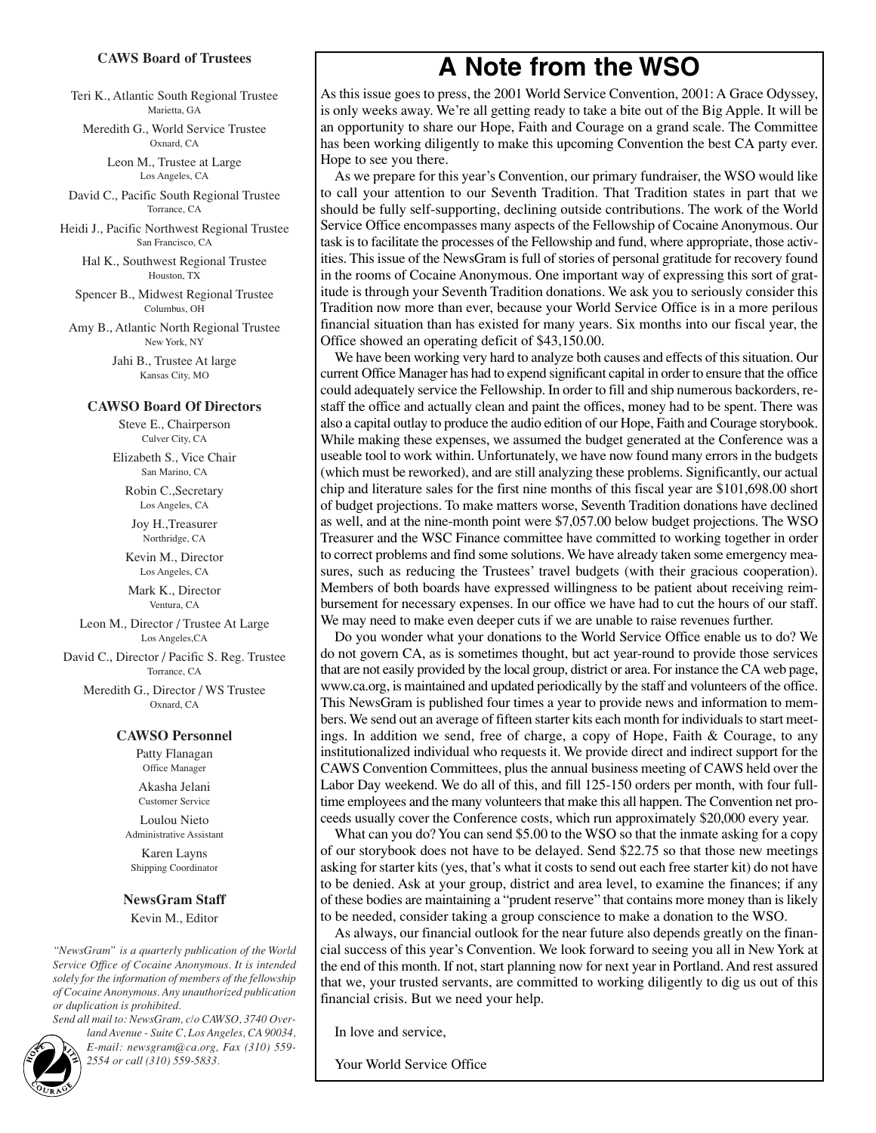#### **CAWS Board of Trustees**

Teri K., Atlantic South Regional Trustee Marietta, GA

Meredith G., World Service Trustee Oxnard, CA

> Leon M., Trustee at Large Los Angeles, CA

David C., Pacific South Regional Trustee Torrance, CA

Heidi J., Pacific Northwest Regional Trustee San Francisco, CA

Hal K., Southwest Regional Trustee Houston, TX

Spencer B., Midwest Regional Trustee Columbus, OH

Amy B., Atlantic North Regional Trustee New York, NY

> Jahi B., Trustee At large Kansas City, MO

#### **CAWSO Board Of Directors**

Steve E., Chairperson Culver City, CA

Elizabeth S., Vice Chair San Marino, CA

Robin C.,Secretary Los Angeles, CA

Joy H.,Treasurer Northridge, CA

Kevin M., Director Los Angeles, CA

Mark K., Director Ventura, CA

Leon M., Director / Trustee At Large Los Angeles,CA

David C., Director / Pacific S. Reg. Trustee Torrance, CA

Meredith G., Director / WS Trustee Oxnard, CA

#### **CAWSO Personnel**

Patty Flanagan Office Manager Akasha Jelani Customer Service Loulou Nieto Administrative Assistant Karen Layns

Shipping Coordinator

#### **NewsGram Staff**

Kevin M., Editor

*"NewsGram" is a quarterly publication of the World Service Office of Cocaine Anonymous. It is intended solely for the information of members of the fellowship of Cocaine Anonymous. Any unauthorized publication or duplication is prohibited.*

*Send all mail to: NewsGram, c/o CAWSO, 3740 Overland Avenue - Suite C, Los Angeles, CA 90034, E-mail: newsgram@ca.org, Fax (310) 559- 2554 or call (310) 559-5833.*<br> **2554 or call (310) 559-5833.**<br> **2554 or call (310) 559-5833.** 

**A Note from the WSO**

As this issue goes to press, the 2001 World Service Convention, 2001: A Grace Odyssey, is only weeks away. We're all getting ready to take a bite out of the Big Apple. It will be an opportunity to share our Hope, Faith and Courage on a grand scale. The Committee has been working diligently to make this upcoming Convention the best CA party ever. Hope to see you there.

As we prepare for this year's Convention, our primary fundraiser, the WSO would like to call your attention to our Seventh Tradition. That Tradition states in part that we should be fully self-supporting, declining outside contributions. The work of the World Service Office encompasses many aspects of the Fellowship of Cocaine Anonymous. Our task is to facilitate the processes of the Fellowship and fund, where appropriate, those activities. This issue of the NewsGram is full of stories of personal gratitude for recovery found in the rooms of Cocaine Anonymous. One important way of expressing this sort of gratitude is through your Seventh Tradition donations. We ask you to seriously consider this Tradition now more than ever, because your World Service Office is in a more perilous financial situation than has existed for many years. Six months into our fiscal year, the Office showed an operating deficit of \$43,150.00.

We have been working very hard to analyze both causes and effects of this situation. Our current Office Manager has had to expend significant capital in order to ensure that the office could adequately service the Fellowship. In order to fill and ship numerous backorders, restaff the office and actually clean and paint the offices, money had to be spent. There was also a capital outlay to produce the audio edition of our Hope, Faith and Courage storybook. While making these expenses, we assumed the budget generated at the Conference was a useable tool to work within. Unfortunately, we have now found many errors in the budgets (which must be reworked), and are still analyzing these problems. Significantly, our actual chip and literature sales for the first nine months of this fiscal year are \$101,698.00 short of budget projections. To make matters worse, Seventh Tradition donations have declined as well, and at the nine-month point were \$7,057.00 below budget projections. The WSO Treasurer and the WSC Finance committee have committed to working together in order to correct problems and find some solutions. We have already taken some emergency measures, such as reducing the Trustees' travel budgets (with their gracious cooperation). Members of both boards have expressed willingness to be patient about receiving reimbursement for necessary expenses. In our office we have had to cut the hours of our staff. We may need to make even deeper cuts if we are unable to raise revenues further.

Do you wonder what your donations to the World Service Office enable us to do? We do not govern CA, as is sometimes thought, but act year-round to provide those services that are not easily provided by the local group, district or area. For instance the CA web page, www.ca.org, is maintained and updated periodically by the staff and volunteers of the office. This NewsGram is published four times a year to provide news and information to members. We send out an average of fifteen starter kits each month for individuals to start meetings. In addition we send, free of charge, a copy of Hope, Faith & Courage, to any institutionalized individual who requests it. We provide direct and indirect support for the CAWS Convention Committees, plus the annual business meeting of CAWS held over the Labor Day weekend. We do all of this, and fill 125-150 orders per month, with four fulltime employees and the many volunteers that make this all happen. The Convention net proceeds usually cover the Conference costs, which run approximately \$20,000 every year.

What can you do? You can send \$5.00 to the WSO so that the inmate asking for a copy of our storybook does not have to be delayed. Send \$22.75 so that those new meetings asking for starter kits (yes, that's what it costs to send out each free starter kit) do not have to be denied. Ask at your group, district and area level, to examine the finances; if any of these bodies are maintaining a "prudent reserve" that contains more money than is likely to be needed, consider taking a group conscience to make a donation to the WSO.

As always, our financial outlook for the near future also depends greatly on the financial success of this year's Convention. We look forward to seeing you all in New York at the end of this month. If not, start planning now for next year in Portland. And rest assured that we, your trusted servants, are committed to working diligently to dig us out of this financial crisis. But we need your help.

In love and service,

Your World Service Office

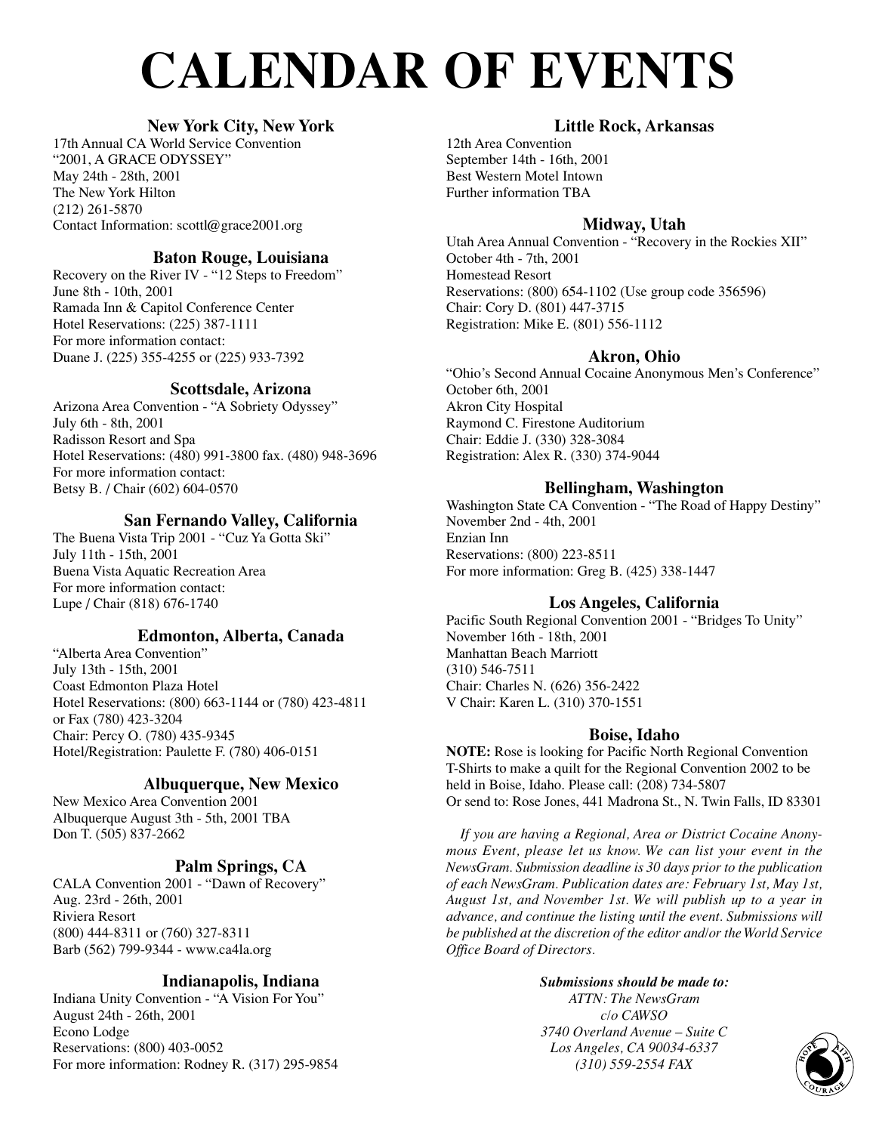# **CALENDAR OF EVENTS**

### **New York City, New York**

17th Annual CA World Service Convention "2001, A GRACE ODYSSEY" May 24th - 28th, 2001 The New York Hilton (212) 261-5870 Contact Information: scottl@grace2001.org

### **Baton Rouge, Louisiana**

Recovery on the River IV - "12 Steps to Freedom" June 8th - 10th, 2001 Ramada Inn & Capitol Conference Center Hotel Reservations: (225) 387-1111 For more information contact: Duane J. (225) 355-4255 or (225) 933-7392

### **Scottsdale, Arizona**

Arizona Area Convention - "A Sobriety Odyssey" July 6th - 8th, 2001 Radisson Resort and Spa Hotel Reservations: (480) 991-3800 fax. (480) 948-3696 For more information contact: Betsy B. / Chair (602) 604-0570

### **San Fernando Valley, California**

The Buena Vista Trip 2001 - "Cuz Ya Gotta Ski" July 11th - 15th, 2001 Buena Vista Aquatic Recreation Area For more information contact: Lupe / Chair (818) 676-1740

### **Edmonton, Alberta, Canada**

"Alberta Area Convention" July 13th - 15th, 2001 Coast Edmonton Plaza Hotel Hotel Reservations: (800) 663-1144 or (780) 423-4811 or Fax (780) 423-3204 Chair: Percy O. (780) 435-9345 Hotel/Registration: Paulette F. (780) 406-0151

### **Albuquerque, New Mexico**

New Mexico Area Convention 2001 Albuquerque August 3th - 5th, 2001 TBA Don T. (505) 837-2662

### **Palm Springs, CA**

CALA Convention 2001 - "Dawn of Recovery" Aug. 23rd - 26th, 2001 Riviera Resort (800) 444-8311 or (760) 327-8311 Barb (562) 799-9344 - www.ca4la.org

### **Indianapolis, Indiana**

Indiana Unity Convention - "A Vision For You" August 24th - 26th, 2001 Econo Lodge Reservations: (800) 403-0052 For more information: Rodney R. (317) 295-9854

### **Little Rock, Arkansas**

12th Area Convention September 14th - 16th, 2001 Best Western Motel Intown Further information TBA

### **Midway, Utah**

Utah Area Annual Convention - "Recovery in the Rockies XII" October 4th - 7th, 2001 Homestead Resort Reservations: (800) 654-1102 (Use group code 356596) Chair: Cory D. (801) 447-3715 Registration: Mike E. (801) 556-1112

### **Akron, Ohio**

"Ohio's Second Annual Cocaine Anonymous Men's Conference" October 6th, 2001 Akron City Hospital Raymond C. Firestone Auditorium Chair: Eddie J. (330) 328-3084 Registration: Alex R. (330) 374-9044

### **Bellingham, Washington**

Washington State CA Convention - "The Road of Happy Destiny" November 2nd - 4th, 2001 Enzian Inn Reservations: (800) 223-8511 For more information: Greg B. (425) 338-1447

### **Los Angeles, California**

Pacific South Regional Convention 2001 - "Bridges To Unity" November 16th - 18th, 2001 Manhattan Beach Marriott (310) 546-7511 Chair: Charles N. (626) 356-2422 V Chair: Karen L. (310) 370-1551

### **Boise, Idaho**

**NOTE:** Rose is looking for Pacific North Regional Convention T-Shirts to make a quilt for the Regional Convention 2002 to be held in Boise, Idaho. Please call: (208) 734-5807 Or send to: Rose Jones, 441 Madrona St., N. Twin Falls, ID 83301

*If you are having a Regional, Area or District Cocaine Anonymous Event, please let us know. We can list your event in the NewsGram. Submission deadline is 30 days prior to the publication of each NewsGram. Publication dates are: February 1st, May 1st, August 1st, and November 1st. We will publish up to a year in advance, and continue the listing until the event. Submissions will be published at the discretion of the editor and/or the World Service Office Board of Directors.*

### *Submissions should be made to: ATTN: The NewsGram c/o CAWSO 3740 Overland Avenue – Suite C Los Angeles, CA 90034-6337 (310) Syerland Avenue – Suite C<br>
Angeles, CA 90034-6337<br>
(310) 559-2554 FAX CORP CORP CORP*

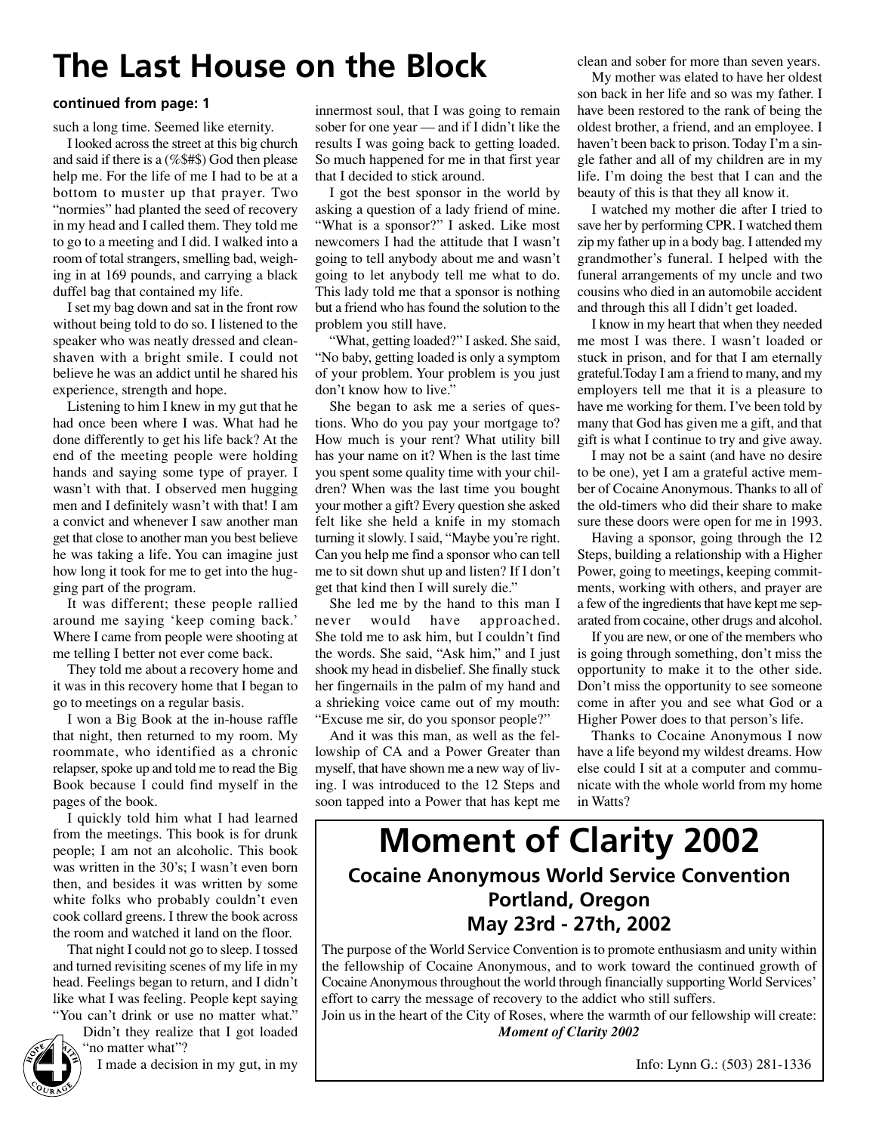## **The Last House on the Block**

#### **continued from page: 1**

such a long time. Seemed like eternity.

I looked across the street at this big church and said if there is a (%\$#\$) God then please help me. For the life of me I had to be at a bottom to muster up that prayer. Two "normies" had planted the seed of recovery in my head and I called them. They told me to go to a meeting and I did. I walked into a room of total strangers, smelling bad, weighing in at 169 pounds, and carrying a black duffel bag that contained my life.

I set my bag down and sat in the front row without being told to do so. I listened to the speaker who was neatly dressed and cleanshaven with a bright smile. I could not believe he was an addict until he shared his experience, strength and hope.

Listening to him I knew in my gut that he had once been where I was. What had he done differently to get his life back? At the end of the meeting people were holding hands and saying some type of prayer. I wasn't with that. I observed men hugging men and I definitely wasn't with that! I am a convict and whenever I saw another man get that close to another man you best believe he was taking a life. You can imagine just how long it took for me to get into the hugging part of the program.

It was different; these people rallied around me saying 'keep coming back.' Where I came from people were shooting at me telling I better not ever come back.

They told me about a recovery home and it was in this recovery home that I began to go to meetings on a regular basis.

I won a Big Book at the in-house raffle that night, then returned to my room. My roommate, who identified as a chronic relapser, spoke up and told me to read the Big Book because I could find myself in the pages of the book.

I quickly told him what I had learned from the meetings. This book is for drunk people; I am not an alcoholic. This book was written in the 30's; I wasn't even born then, and besides it was written by some white folks who probably couldn't even cook collard greens. I threw the book across the room and watched it land on the floor.

That night I could not go to sleep. I tossed and turned revisiting scenes of my life in my head. Feelings began to return, and I didn't like what I was feeling. People kept saying "You can't drink or use no matter what."

Didn't they realize that I got loaded 'no matter what"?



I made a decision in my gut, in my

innermost soul, that I was going to remain sober for one year — and if I didn't like the results I was going back to getting loaded. So much happened for me in that first year that I decided to stick around.

I got the best sponsor in the world by asking a question of a lady friend of mine. "What is a sponsor?" I asked. Like most newcomers I had the attitude that I wasn't going to tell anybody about me and wasn't going to let anybody tell me what to do. This lady told me that a sponsor is nothing but a friend who has found the solution to the problem you still have.

"What, getting loaded?" I asked. She said, "No baby, getting loaded is only a symptom of your problem. Your problem is you just don't know how to live."

She began to ask me a series of questions. Who do you pay your mortgage to? How much is your rent? What utility bill has your name on it? When is the last time you spent some quality time with your children? When was the last time you bought your mother a gift? Every question she asked felt like she held a knife in my stomach turning it slowly. I said, "Maybe you're right. Can you help me find a sponsor who can tell me to sit down shut up and listen? If I don't get that kind then I will surely die."

She led me by the hand to this man I never would have approached. She told me to ask him, but I couldn't find the words. She said, "Ask him," and I just shook my head in disbelief. She finally stuck her fingernails in the palm of my hand and a shrieking voice came out of my mouth: "Excuse me sir, do you sponsor people?"

And it was this man, as well as the fellowship of CA and a Power Greater than myself, that have shown me a new way of living. I was introduced to the 12 Steps and soon tapped into a Power that has kept me clean and sober for more than seven years.

My mother was elated to have her oldest son back in her life and so was my father. I have been restored to the rank of being the oldest brother, a friend, and an employee. I haven't been back to prison. Today I'm a single father and all of my children are in my life. I'm doing the best that I can and the beauty of this is that they all know it.

I watched my mother die after I tried to save her by performing CPR. I watched them zip my father up in a body bag. I attended my grandmother's funeral. I helped with the funeral arrangements of my uncle and two cousins who died in an automobile accident and through this all I didn't get loaded.

I know in my heart that when they needed me most I was there. I wasn't loaded or stuck in prison, and for that I am eternally grateful.Today I am a friend to many, and my employers tell me that it is a pleasure to have me working for them. I've been told by many that God has given me a gift, and that gift is what I continue to try and give away.

I may not be a saint (and have no desire to be one), yet I am a grateful active member of Cocaine Anonymous. Thanks to all of the old-timers who did their share to make sure these doors were open for me in 1993.

Having a sponsor, going through the 12 Steps, building a relationship with a Higher Power, going to meetings, keeping commitments, working with others, and prayer are a few of the ingredients that have kept me separated from cocaine, other drugs and alcohol.

If you are new, or one of the members who is going through something, don't miss the opportunity to make it to the other side. Don't miss the opportunity to see someone come in after you and see what God or a Higher Power does to that person's life.

Thanks to Cocaine Anonymous I now have a life beyond my wildest dreams. How else could I sit at a computer and communicate with the whole world from my home in Watts?

### **Moment of Clarity 2002 Cocaine Anonymous World Service Convention Portland, Oregon May 23rd - 27th, 2002**

The purpose of the World Service Convention is to promote enthusiasm and unity within the fellowship of Cocaine Anonymous, and to work toward the continued growth of Cocaine Anonymous throughout the world through financially supporting World Services' effort to carry the message of recovery to the addict who still suffers.

Join us in the heart of the City of Roses, where the warmth of our fellowship will create: *Moment of Clarity 2002*

Info: Lynn G.: (503) 281-1336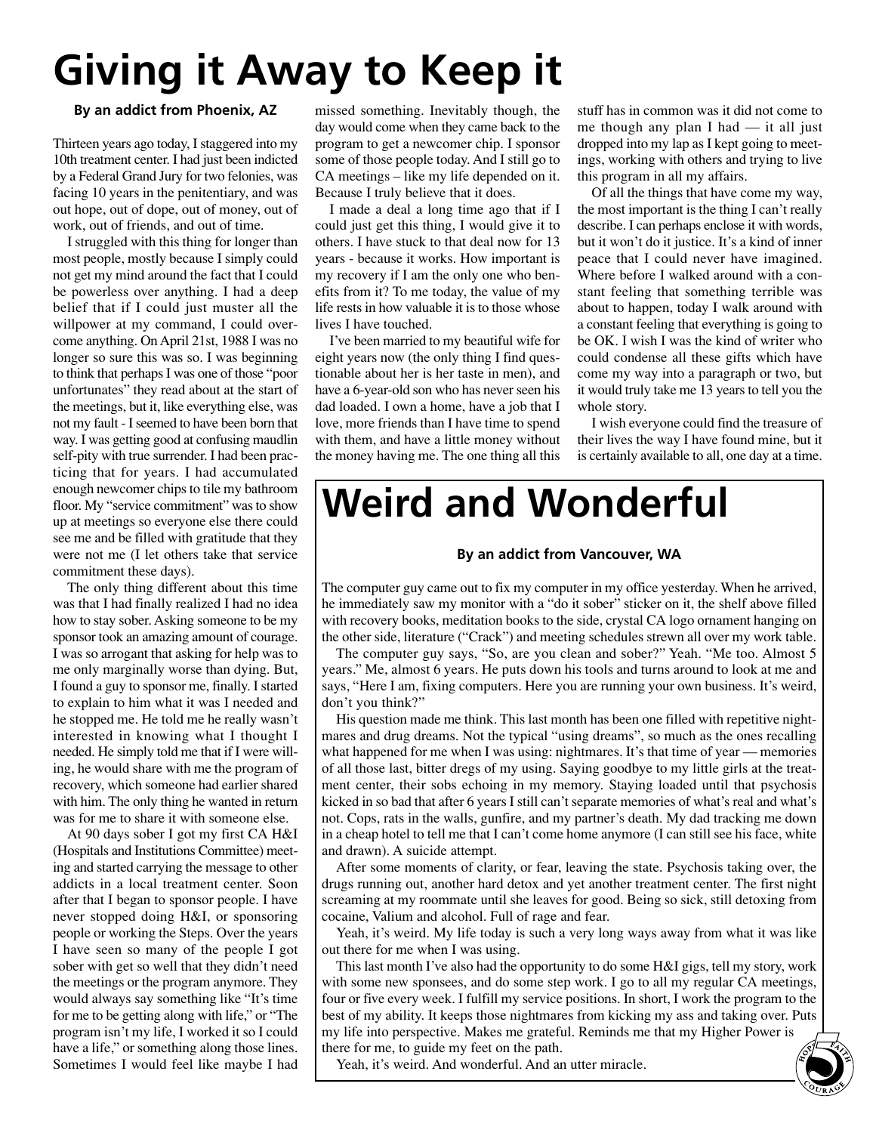# **Giving it Away to Keep it**

### **By an addict from Phoenix, AZ**

Thirteen years ago today, I staggered into my 10th treatment center. I had just been indicted by a Federal Grand Jury for two felonies, was facing 10 years in the penitentiary, and was out hope, out of dope, out of money, out of work, out of friends, and out of time.

I struggled with this thing for longer than most people, mostly because I simply could not get my mind around the fact that I could be powerless over anything. I had a deep belief that if I could just muster all the willpower at my command, I could overcome anything. On April 21st, 1988 I was no longer so sure this was so. I was beginning to think that perhaps I was one of those "poor unfortunates" they read about at the start of the meetings, but it, like everything else, was not my fault - I seemed to have been born that way. I was getting good at confusing maudlin self-pity with true surrender. I had been practicing that for years. I had accumulated enough newcomer chips to tile my bathroom floor. My "service commitment" was to show up at meetings so everyone else there could see me and be filled with gratitude that they were not me (I let others take that service commitment these days).

The only thing different about this time was that I had finally realized I had no idea how to stay sober. Asking someone to be my sponsor took an amazing amount of courage. I was so arrogant that asking for help was to me only marginally worse than dying. But, I found a guy to sponsor me, finally. I started to explain to him what it was I needed and he stopped me. He told me he really wasn't interested in knowing what I thought I needed. He simply told me that if I were willing, he would share with me the program of recovery, which someone had earlier shared with him. The only thing he wanted in return was for me to share it with someone else.

At 90 days sober I got my first CA H&I (Hospitals and Institutions Committee) meeting and started carrying the message to other addicts in a local treatment center. Soon after that I began to sponsor people. I have never stopped doing H&I, or sponsoring people or working the Steps. Over the years I have seen so many of the people I got sober with get so well that they didn't need the meetings or the program anymore. They would always say something like "It's time for me to be getting along with life," or "The program isn't my life, I worked it so I could have a life," or something along those lines. Sometimes I would feel like maybe I had missed something. Inevitably though, the day would come when they came back to the program to get a newcomer chip. I sponsor some of those people today. And I still go to CA meetings – like my life depended on it. Because I truly believe that it does.

I made a deal a long time ago that if I could just get this thing, I would give it to others. I have stuck to that deal now for 13 years - because it works. How important is my recovery if I am the only one who benefits from it? To me today, the value of my life rests in how valuable it is to those whose lives I have touched.

I've been married to my beautiful wife for eight years now (the only thing I find questionable about her is her taste in men), and have a 6-year-old son who has never seen his dad loaded. I own a home, have a job that I love, more friends than I have time to spend with them, and have a little money without the money having me. The one thing all this

stuff has in common was it did not come to me though any plan I had — it all just dropped into my lap as I kept going to meetings, working with others and trying to live this program in all my affairs.

Of all the things that have come my way, the most important is the thing I can't really describe. I can perhaps enclose it with words, but it won't do it justice. It's a kind of inner peace that I could never have imagined. Where before I walked around with a constant feeling that something terrible was about to happen, today I walk around with a constant feeling that everything is going to be OK. I wish I was the kind of writer who could condense all these gifts which have come my way into a paragraph or two, but it would truly take me 13 years to tell you the whole story.

I wish everyone could find the treasure of their lives the way I have found mine, but it is certainly available to all, one day at a time.

## **Weird and Wonderful**

#### **By an addict from Vancouver, WA**

The computer guy came out to fix my computer in my office yesterday. When he arrived, he immediately saw my monitor with a "do it sober" sticker on it, the shelf above filled with recovery books, meditation books to the side, crystal CA logo ornament hanging on the other side, literature ("Crack") and meeting schedules strewn all over my work table.

The computer guy says, "So, are you clean and sober?" Yeah. "Me too. Almost 5 years." Me, almost 6 years. He puts down his tools and turns around to look at me and says, "Here I am, fixing computers. Here you are running your own business. It's weird, don't you think?"

His question made me think. This last month has been one filled with repetitive nightmares and drug dreams. Not the typical "using dreams", so much as the ones recalling what happened for me when I was using: nightmares. It's that time of year — memories of all those last, bitter dregs of my using. Saying goodbye to my little girls at the treatment center, their sobs echoing in my memory. Staying loaded until that psychosis kicked in so bad that after 6 years I still can't separate memories of what's real and what's not. Cops, rats in the walls, gunfire, and my partner's death. My dad tracking me down in a cheap hotel to tell me that I can't come home anymore (I can still see his face, white and drawn). A suicide attempt.

After some moments of clarity, or fear, leaving the state. Psychosis taking over, the drugs running out, another hard detox and yet another treatment center. The first night screaming at my roommate until she leaves for good. Being so sick, still detoxing from cocaine, Valium and alcohol. Full of rage and fear.

Yeah, it's weird. My life today is such a very long ways away from what it was like out there for me when I was using.

This last month I've also had the opportunity to do some H&I gigs, tell my story, work with some new sponsees, and do some step work. I go to all my regular CA meetings, four or five every week. I fulfill my service positions. In short, I work the program to the best of my ability. It keeps those nightmares from kicking my ass and taking over. Puts my life into perspective. Makes me grateful. Reminds me that my Higher Power is<br>there for me, to guide my feet on the path.<br>Yeah, it's weird. And wonderful. And an utter miracle.<br>Solved by the set of the set of the set of there for me, to guide my feet on the path.

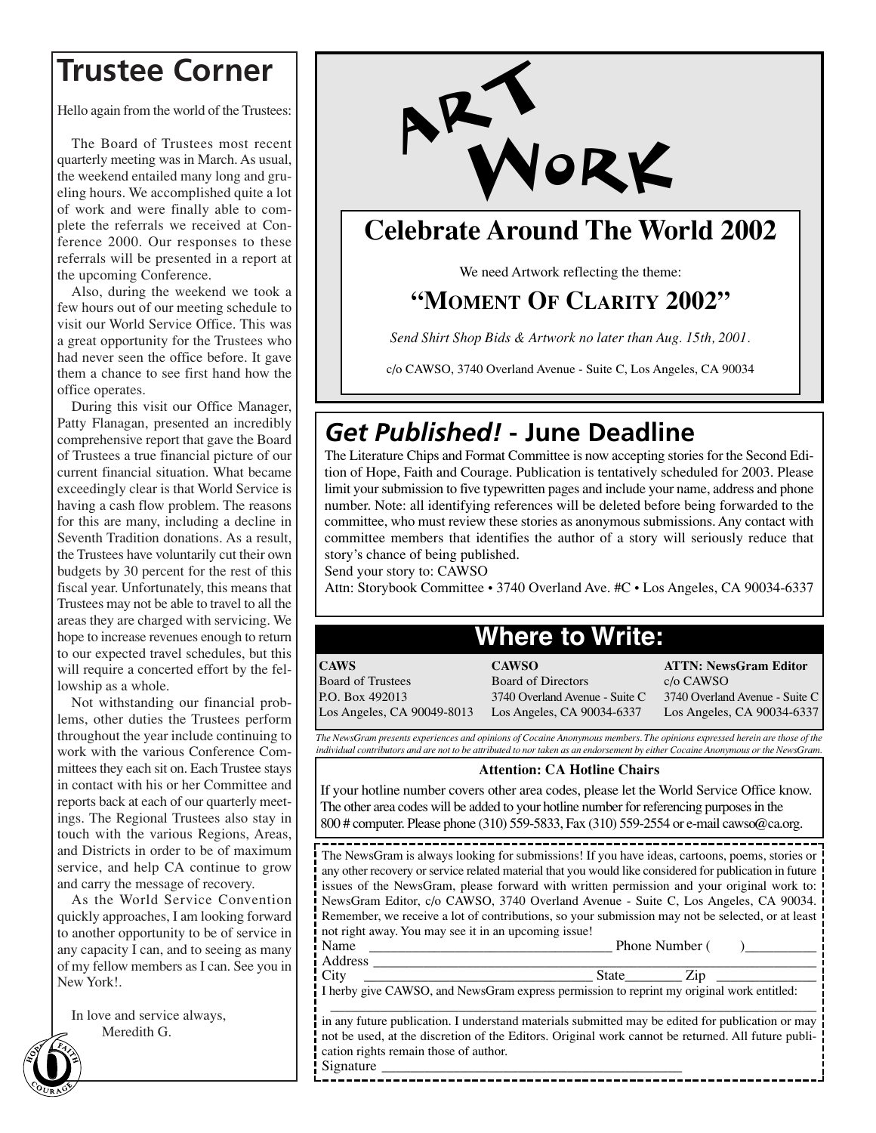### **Trustee Corner**

Hello again from the world of the Trustees:

The Board of Trustees most recent quarterly meeting was in March. As usual, the weekend entailed many long and grueling hours. We accomplished quite a lot of work and were finally able to complete the referrals we received at Conference 2000. Our responses to these referrals will be presented in a report at the upcoming Conference.

Also, during the weekend we took a few hours out of our meeting schedule to visit our World Service Office. This was a great opportunity for the Trustees who had never seen the office before. It gave them a chance to see first hand how the office operates.

During this visit our Office Manager, Patty Flanagan, presented an incredibly comprehensive report that gave the Board of Trustees a true financial picture of our current financial situation. What became exceedingly clear is that World Service is having a cash flow problem. The reasons for this are many, including a decline in Seventh Tradition donations. As a result, the Trustees have voluntarily cut their own budgets by 30 percent for the rest of this fiscal year. Unfortunately, this means that Trustees may not be able to travel to all the areas they are charged with servicing. We hope to increase revenues enough to return to our expected travel schedules, but this will require a concerted effort by the fellowship as a whole.

Not withstanding our financial problems, other duties the Trustees perform throughout the year include continuing to work with the various Conference Committees they each sit on. Each Trustee stays in contact with his or her Committee and reports back at each of our quarterly meetings. The Regional Trustees also stay in touch with the various Regions, Areas, and Districts in order to be of maximum service, and help CA continue to grow and carry the message of recovery.

As the World Service Convention quickly approaches, I am looking forward to another opportunity to be of service in any capacity I can, and to seeing as many of my fellow members as I can. See you in New York!.

In love and service always,



### **Celebrate Around The World 2002**

We need Artwork reflecting the theme:

### **"MOMENT OF CLARITY 2002"**

*Send Shirt Shop Bids & Artwork no later than Aug. 15th, 2001.*

c/o CAWSO, 3740 Overland Avenue - Suite C, Los Angeles, CA 90034

### *Get Published!* **- June Deadline**

The Literature Chips and Format Committee is now accepting stories for the Second Edition of Hope, Faith and Courage. Publication is tentatively scheduled for 2003. Please limit your submission to five typewritten pages and include your name, address and phone number. Note: all identifying references will be deleted before being forwarded to the committee, who must review these stories as anonymous submissions. Any contact with committee members that identifies the author of a story will seriously reduce that story's chance of being published.

Send your story to: CAWSO

Attn: Storybook Committee • 3740 Overland Ave. #C • Los Angeles, CA 90034-6337

### **Where to Write:**

**CAWS** Board of Trustees P.O. Box 492013 Los Angeles, CA 90049-8013 **CAWSO** Board of Directors 3740 Overland Avenue - Suite C Los Angeles, CA 90034-6337

**ATTN: NewsGram Editor** c/o CAWSO 3740 Overland Avenue - Suite C Los Angeles, CA 90034-6337

*The NewsGram presents experiences and opinions of Cocaine Anonymous members. The opinions expressed herein are those of the individual contributors and are not to be attributed to nor taken as an endorsement by either Cocaine Anonymous or the NewsGram.*

### **Attention: CA Hotline Chairs**

If your hotline number covers other area codes, please let the World Service Office know. The other area codes will be added to your hotline number for referencing purposes in the 800 # computer. Please phone (310) 559-5833, Fax (310) 559-2554 or e-mail cawso@ca.org.

The NewsGram is always looking for submissions! If you have ideas, cartoons, poems, stories or any other recovery or service related material that you would like considered for publication in future issues of the NewsGram, please forward with written permission and your original work to: NewsGram Editor, c/o CAWSO, 3740 Overland Avenue - Suite C, Los Angeles, CA 90034. Remember, we receive a lot of contributions, so your submission may not be selected, or at least not right away. You may see it in an upcoming issue!

Name \_\_\_\_\_\_\_\_\_\_\_\_\_\_\_\_\_\_\_\_\_\_\_\_\_\_\_\_\_\_\_\_\_\_ Phone Number ( )\_\_\_\_\_\_\_\_\_\_ Address \_\_\_\_\_\_\_\_\_\_\_\_\_\_\_\_\_\_\_\_\_\_\_\_\_\_\_\_\_\_\_\_\_\_\_\_\_\_\_\_\_\_\_\_\_\_\_\_\_\_\_\_\_\_\_\_\_\_\_\_\_\_

City \_\_\_\_\_\_\_\_\_\_\_\_\_\_\_\_\_\_\_\_\_\_\_\_\_\_\_\_\_\_\_\_ State\_\_\_\_\_\_\_\_ Zip \_\_\_\_\_\_\_\_\_\_\_\_\_\_

I herby give CAWSO, and NewsGram express permission to reprint my original work entitled: \_\_\_\_\_\_\_\_\_\_\_\_\_\_\_\_\_\_\_\_\_\_\_\_\_\_\_\_\_\_\_\_\_\_\_\_\_\_\_\_\_\_\_\_\_\_\_\_\_\_\_\_\_\_\_\_\_\_\_\_\_\_\_\_\_\_\_\_

in any future publication. I understand materials submitted may be edited for publication or may not be used, at the discretion of the Editors. Original work cannot be returned. All future publication rights remain those of author. Signature \_\_\_\_\_\_\_\_\_\_\_\_\_\_\_\_\_\_\_\_\_\_\_\_\_\_\_\_\_\_\_\_\_\_\_\_\_\_\_\_\_\_

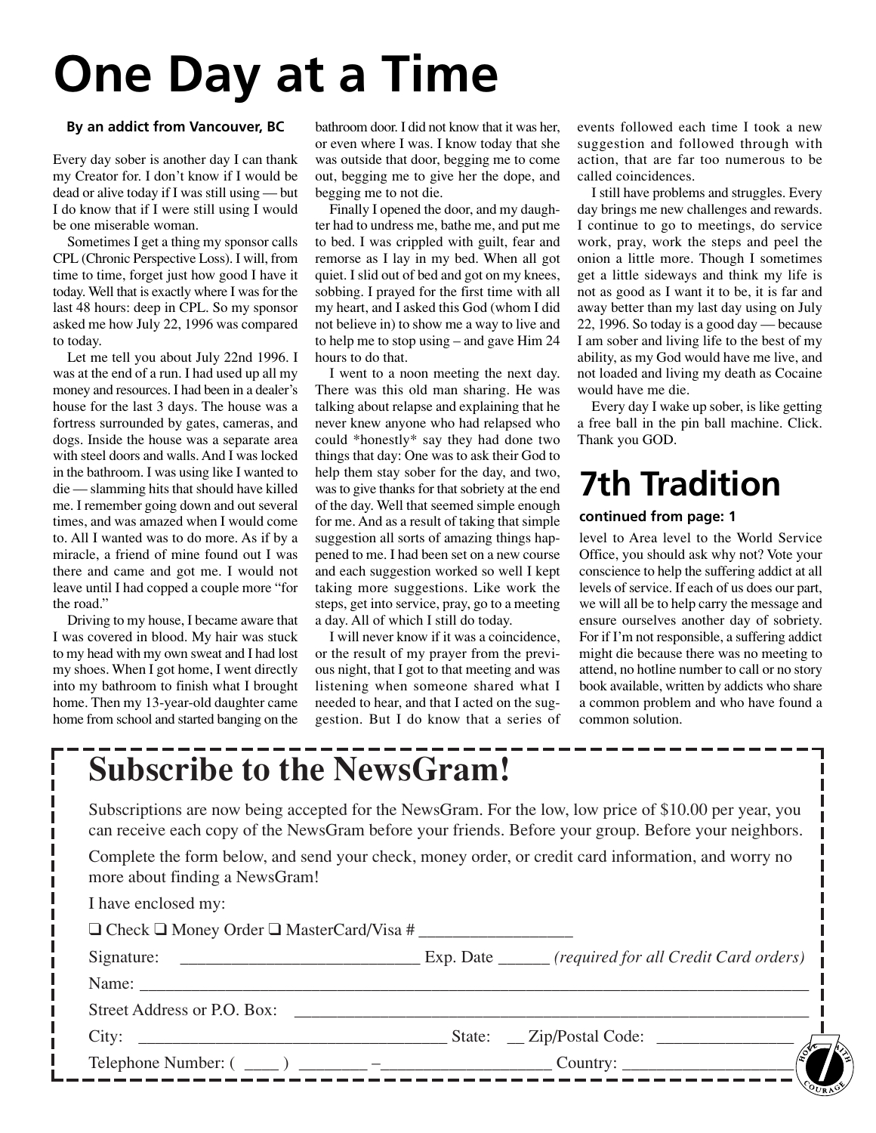# **One Day at a Time**

#### **By an addict from Vancouver, BC**

Every day sober is another day I can thank my Creator for. I don't know if I would be dead or alive today if I was still using — but I do know that if I were still using I would be one miserable woman.

Sometimes I get a thing my sponsor calls CPL (Chronic Perspective Loss). I will, from time to time, forget just how good I have it today. Well that is exactly where I was for the last 48 hours: deep in CPL. So my sponsor asked me how July 22, 1996 was compared to today.

Let me tell you about July 22nd 1996. I was at the end of a run. I had used up all my money and resources. I had been in a dealer's house for the last 3 days. The house was a fortress surrounded by gates, cameras, and dogs. Inside the house was a separate area with steel doors and walls. And I was locked in the bathroom. I was using like I wanted to die — slamming hits that should have killed me. I remember going down and out several times, and was amazed when I would come to. All I wanted was to do more. As if by a miracle, a friend of mine found out I was there and came and got me. I would not leave until I had copped a couple more "for the road."

Driving to my house, I became aware that I was covered in blood. My hair was stuck to my head with my own sweat and I had lost my shoes. When I got home, I went directly into my bathroom to finish what I brought home. Then my 13-year-old daughter came home from school and started banging on the

bathroom door. I did not know that it was her, or even where I was. I know today that she was outside that door, begging me to come out, begging me to give her the dope, and begging me to not die.

Finally I opened the door, and my daughter had to undress me, bathe me, and put me to bed. I was crippled with guilt, fear and remorse as I lay in my bed. When all got quiet. I slid out of bed and got on my knees, sobbing. I prayed for the first time with all my heart, and I asked this God (whom I did not believe in) to show me a way to live and to help me to stop using – and gave Him 24 hours to do that.

I went to a noon meeting the next day. There was this old man sharing. He was talking about relapse and explaining that he never knew anyone who had relapsed who could \*honestly\* say they had done two things that day: One was to ask their God to help them stay sober for the day, and two, was to give thanks for that sobriety at the end of the day. Well that seemed simple enough for me. And as a result of taking that simple suggestion all sorts of amazing things happened to me. I had been set on a new course and each suggestion worked so well I kept taking more suggestions. Like work the steps, get into service, pray, go to a meeting a day. All of which I still do today.

I will never know if it was a coincidence, or the result of my prayer from the previous night, that I got to that meeting and was listening when someone shared what I needed to hear, and that I acted on the suggestion. But I do know that a series of events followed each time I took a new suggestion and followed through with action, that are far too numerous to be called coincidences.

I still have problems and struggles. Every day brings me new challenges and rewards. I continue to go to meetings, do service work, pray, work the steps and peel the onion a little more. Though I sometimes get a little sideways and think my life is not as good as I want it to be, it is far and away better than my last day using on July 22, 1996. So today is a good day — because I am sober and living life to the best of my ability, as my God would have me live, and not loaded and living my death as Cocaine would have me die.

Every day I wake up sober, is like getting a free ball in the pin ball machine. Click. Thank you GOD.

## **7th Tradition**

### **continued from page: 1**

level to Area level to the World Service Office, you should ask why not? Vote your conscience to help the suffering addict at all levels of service. If each of us does our part, we will all be to help carry the message and ensure ourselves another day of sobriety. For if I'm not responsible, a suffering addict might die because there was no meeting to attend, no hotline number to call or no story book available, written by addicts who share a common problem and who have found a common solution.

## **Subscribe to the NewsGram!**

Subscriptions are now being accepted for the NewsGram. For the low, low price of \$10.00 per year, you can receive each copy of the NewsGram before your friends. Before your group. Before your neighbors.

Complete the form below, and send your check, money order, or credit card information, and worry no more about finding a NewsGram!

| I have enclosed my:                                      |  |  |
|----------------------------------------------------------|--|--|
| $\Box$ Check $\Box$ Money Order $\Box$ MasterCard/Visa # |  |  |
|                                                          |  |  |
|                                                          |  |  |
| Street Address or P.O. Box:                              |  |  |
| City: State: Zip/Postal Code:                            |  |  |
|                                                          |  |  |
|                                                          |  |  |